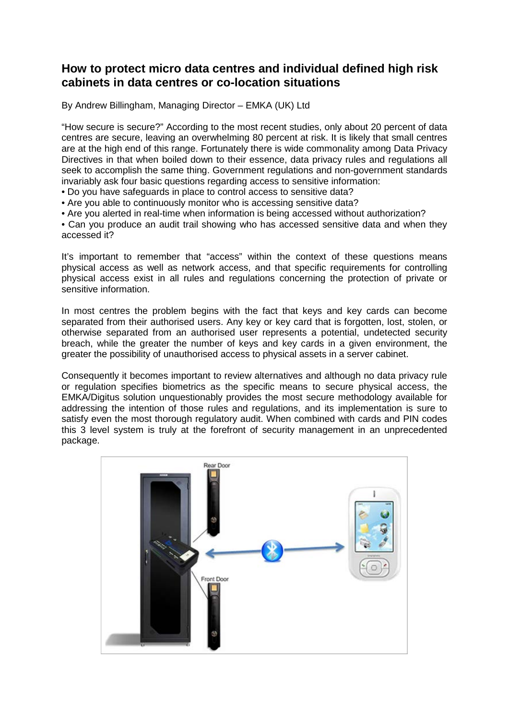## **How to protect micro data centres and individual defined high risk cabinets in data centres or co-location situations**

By Andrew Billingham, Managing Director – EMKA (UK) Ltd

"How secure is secure?" According to the most recent studies, only about 20 percent of data centres are secure, leaving an overwhelming 80 percent at risk. It is likely that small centres are at the high end of this range. Fortunately there is wide commonality among Data Privacy Directives in that when boiled down to their essence, data privacy rules and regulations all seek to accomplish the same thing. Government regulations and non-government standards invariably ask four basic questions regarding access to sensitive information:

- Do you have safeguards in place to control access to sensitive data?
- Are you able to continuously monitor who is accessing sensitive data?
- Are you alerted in real-time when information is being accessed without authorization?

• Can you produce an audit trail showing who has accessed sensitive data and when they accessed it?

It's important to remember that "access" within the context of these questions means physical access as well as network access, and that specific requirements for controlling physical access exist in all rules and regulations concerning the protection of private or sensitive information.

In most centres the problem begins with the fact that keys and key cards can become separated from their authorised users. Any key or key card that is forgotten, lost, stolen, or otherwise separated from an authorised user represents a potential, undetected security breach, while the greater the number of keys and key cards in a given environment, the greater the possibility of unauthorised access to physical assets in a server cabinet.

Consequently it becomes important to review alternatives and although no data privacy rule or regulation specifies biometrics as the specific means to secure physical access, the EMKA/Digitus solution unquestionably provides the most secure methodology available for addressing the intention of those rules and regulations, and its implementation is sure to satisfy even the most thorough regulatory audit. When combined with cards and PIN codes this 3 level system is truly at the forefront of security management in an unprecedented package.

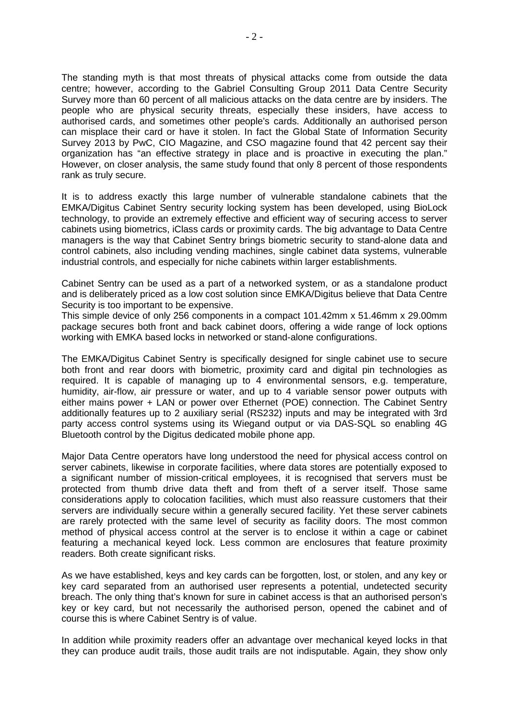The standing myth is that most threats of physical attacks come from outside the data centre; however, according to the Gabriel Consulting Group 2011 Data Centre Security Survey more than 60 percent of all malicious attacks on the data centre are by insiders. The people who are physical security threats, especially these insiders, have access to authorised cards, and sometimes other people's cards. Additionally an authorised person can misplace their card or have it stolen. In fact the Global State of Information Security Survey 2013 by PwC, CIO Magazine, and CSO magazine found that 42 percent say their organization has "an effective strategy in place and is proactive in executing the plan." However, on closer analysis, the same study found that only 8 percent of those respondents rank as truly secure.

It is to address exactly this large number of vulnerable standalone cabinets that the EMKA/Digitus Cabinet Sentry security locking system has been developed, using BioLock technology, to provide an extremely effective and efficient way of securing access to server cabinets using biometrics, iClass cards or proximity cards. The big advantage to Data Centre managers is the way that Cabinet Sentry brings biometric security to stand-alone data and control cabinets, also including vending machines, single cabinet data systems, vulnerable industrial controls, and especially for niche cabinets within larger establishments.

Cabinet Sentry can be used as a part of a networked system, or as a standalone product and is deliberately priced as a low cost solution since EMKA/Digitus believe that Data Centre Security is too important to be expensive.

This simple device of only 256 components in a compact 101.42mm x 51.46mm x 29.00mm package secures both front and back cabinet doors, offering a wide range of lock options working with EMKA based locks in networked or stand-alone configurations.

The EMKA/Digitus Cabinet Sentry is specifically designed for single cabinet use to secure both front and rear doors with biometric, proximity card and digital pin technologies as required. It is capable of managing up to 4 environmental sensors, e.g. temperature, humidity, air-flow, air pressure or water, and up to 4 variable sensor power outputs with either mains power + LAN or power over Ethernet (POE) connection. The Cabinet Sentry additionally features up to 2 auxiliary serial (RS232) inputs and may be integrated with 3rd party access control systems using its Wiegand output or via DAS-SQL so enabling 4G Bluetooth control by the Digitus dedicated mobile phone app.

Major Data Centre operators have long understood the need for physical access control on server cabinets, likewise in corporate facilities, where data stores are potentially exposed to a significant number of mission-critical employees, it is recognised that servers must be protected from thumb drive data theft and from theft of a server itself. Those same considerations apply to colocation facilities, which must also reassure customers that their servers are individually secure within a generally secured facility. Yet these server cabinets are rarely protected with the same level of security as facility doors. The most common method of physical access control at the server is to enclose it within a cage or cabinet featuring a mechanical keyed lock. Less common are enclosures that feature proximity readers. Both create significant risks.

As we have established, keys and key cards can be forgotten, lost, or stolen, and any key or key card separated from an authorised user represents a potential, undetected security breach. The only thing that's known for sure in cabinet access is that an authorised person's key or key card, but not necessarily the authorised person, opened the cabinet and of course this is where Cabinet Sentry is of value.

In addition while proximity readers offer an advantage over mechanical keyed locks in that they can produce audit trails, those audit trails are not indisputable. Again, they show only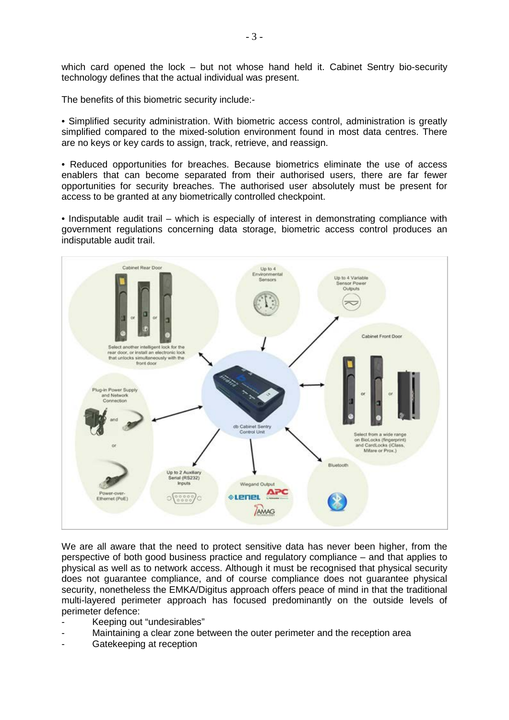which card opened the lock – but not whose hand held it. Cabinet Sentry bio-security technology defines that the actual individual was present.

The benefits of this biometric security include:-

• Simplified security administration. With biometric access control, administration is greatly simplified compared to the mixed-solution environment found in most data centres. There are no keys or key cards to assign, track, retrieve, and reassign.

• Reduced opportunities for breaches. Because biometrics eliminate the use of access enablers that can become separated from their authorised users, there are far fewer opportunities for security breaches. The authorised user absolutely must be present for access to be granted at any biometrically controlled checkpoint.

• Indisputable audit trail – which is especially of interest in demonstrating compliance with government regulations concerning data storage, biometric access control produces an indisputable audit trail.



We are all aware that the need to protect sensitive data has never been higher, from the perspective of both good business practice and regulatory compliance – and that applies to physical as well as to network access. Although it must be recognised that physical security does not guarantee compliance, and of course compliance does not guarantee physical security, nonetheless the EMKA/Digitus approach offers peace of mind in that the traditional multi-layered perimeter approach has focused predominantly on the outside levels of perimeter defence:

- Keeping out "undesirables"
- Maintaining a clear zone between the outer perimeter and the reception area
- Gatekeeping at reception